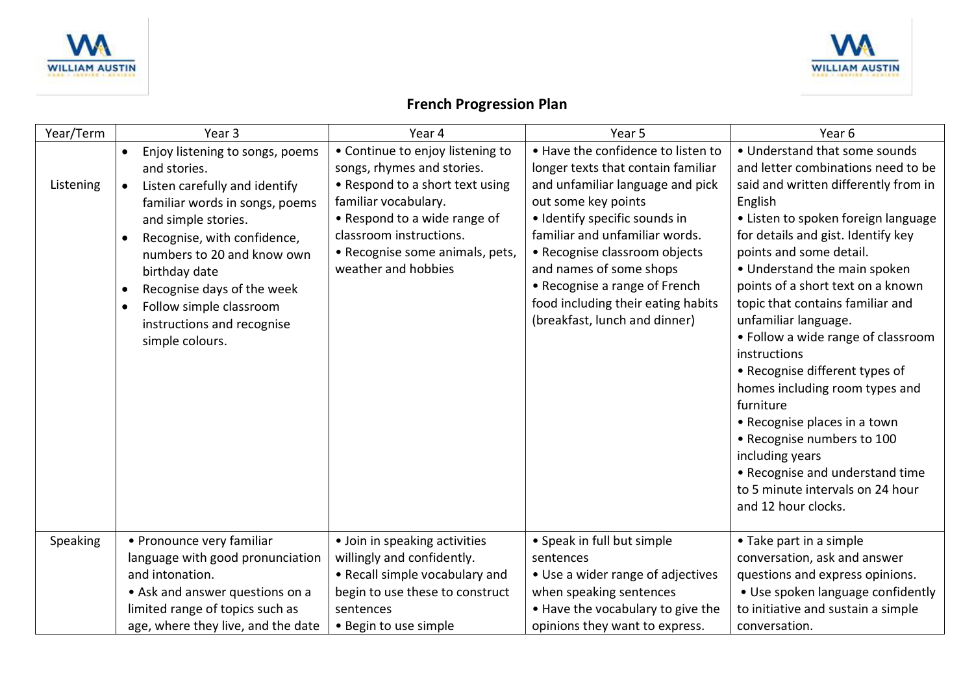



## **French Progression Plan**

| Year/Term | Year 3                                                                                                                                                                                                                                                                                                                                                                                             | Year 4                                                                                                                                                                                                                                         | Year 5                                                                                                                                                                                                                                                                                                                                                                     | Year <sub>6</sub>                                                                                                                                                                                                                                                                                                                                                                                                                                                                                                                                                                                                                                                                     |
|-----------|----------------------------------------------------------------------------------------------------------------------------------------------------------------------------------------------------------------------------------------------------------------------------------------------------------------------------------------------------------------------------------------------------|------------------------------------------------------------------------------------------------------------------------------------------------------------------------------------------------------------------------------------------------|----------------------------------------------------------------------------------------------------------------------------------------------------------------------------------------------------------------------------------------------------------------------------------------------------------------------------------------------------------------------------|---------------------------------------------------------------------------------------------------------------------------------------------------------------------------------------------------------------------------------------------------------------------------------------------------------------------------------------------------------------------------------------------------------------------------------------------------------------------------------------------------------------------------------------------------------------------------------------------------------------------------------------------------------------------------------------|
| Listening | Enjoy listening to songs, poems<br>$\bullet$<br>and stories.<br>Listen carefully and identify<br>$\bullet$<br>familiar words in songs, poems<br>and simple stories.<br>Recognise, with confidence,<br>$\bullet$<br>numbers to 20 and know own<br>birthday date<br>Recognise days of the week<br>$\bullet$<br>Follow simple classroom<br>$\bullet$<br>instructions and recognise<br>simple colours. | • Continue to enjoy listening to<br>songs, rhymes and stories.<br>• Respond to a short text using<br>familiar vocabulary.<br>• Respond to a wide range of<br>classroom instructions.<br>• Recognise some animals, pets,<br>weather and hobbies | . Have the confidence to listen to<br>longer texts that contain familiar<br>and unfamiliar language and pick<br>out some key points<br>· Identify specific sounds in<br>familiar and unfamiliar words.<br>• Recognise classroom objects<br>and names of some shops<br>• Recognise a range of French<br>food including their eating habits<br>(breakfast, lunch and dinner) | • Understand that some sounds<br>and letter combinations need to be<br>said and written differently from in<br>English<br>• Listen to spoken foreign language<br>for details and gist. Identify key<br>points and some detail.<br>• Understand the main spoken<br>points of a short text on a known<br>topic that contains familiar and<br>unfamiliar language.<br>• Follow a wide range of classroom<br>instructions<br>• Recognise different types of<br>homes including room types and<br>furniture<br>• Recognise places in a town<br>• Recognise numbers to 100<br>including years<br>• Recognise and understand time<br>to 5 minute intervals on 24 hour<br>and 12 hour clocks. |
| Speaking  | • Pronounce very familiar<br>language with good pronunciation<br>and intonation.<br>• Ask and answer questions on a<br>limited range of topics such as<br>age, where they live, and the date                                                                                                                                                                                                       | • Join in speaking activities<br>willingly and confidently.<br>• Recall simple vocabulary and<br>begin to use these to construct<br>sentences<br>• Begin to use simple                                                                         | • Speak in full but simple<br>sentences<br>• Use a wider range of adjectives<br>when speaking sentences<br>. Have the vocabulary to give the<br>opinions they want to express.                                                                                                                                                                                             | • Take part in a simple<br>conversation, ask and answer<br>questions and express opinions.<br>• Use spoken language confidently<br>to initiative and sustain a simple<br>conversation.                                                                                                                                                                                                                                                                                                                                                                                                                                                                                                |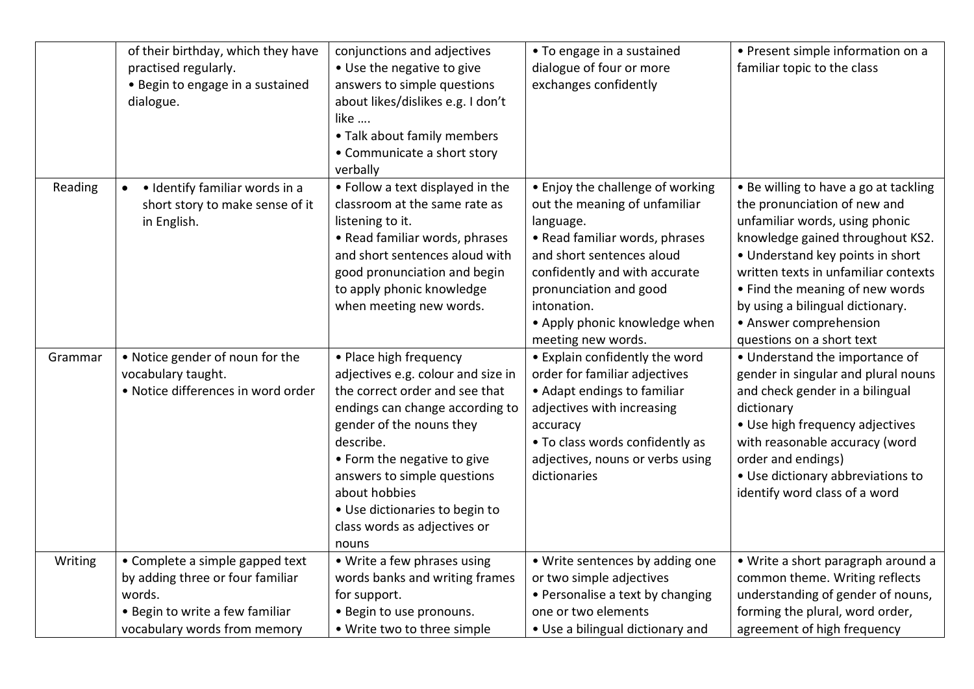|         | of their birthday, which they have<br>practised regularly.<br>• Begin to engage in a sustained<br>dialogue. | conjunctions and adjectives<br>. Use the negative to give<br>answers to simple questions<br>about likes/dislikes e.g. I don't<br>like<br>• Talk about family members<br>• Communicate a short story<br>verbally                                                                                                                      | • To engage in a sustained<br>dialogue of four or more<br>exchanges confidently                                                                                                                                                                                                | • Present simple information on a<br>familiar topic to the class                                                                                                                                                                                                                                                                                      |
|---------|-------------------------------------------------------------------------------------------------------------|--------------------------------------------------------------------------------------------------------------------------------------------------------------------------------------------------------------------------------------------------------------------------------------------------------------------------------------|--------------------------------------------------------------------------------------------------------------------------------------------------------------------------------------------------------------------------------------------------------------------------------|-------------------------------------------------------------------------------------------------------------------------------------------------------------------------------------------------------------------------------------------------------------------------------------------------------------------------------------------------------|
| Reading | · Identify familiar words in a<br>short story to make sense of it<br>in English.                            | • Follow a text displayed in the<br>classroom at the same rate as<br>listening to it.<br>• Read familiar words, phrases<br>and short sentences aloud with<br>good pronunciation and begin<br>to apply phonic knowledge<br>when meeting new words.                                                                                    | • Enjoy the challenge of working<br>out the meaning of unfamiliar<br>language.<br>• Read familiar words, phrases<br>and short sentences aloud<br>confidently and with accurate<br>pronunciation and good<br>intonation.<br>• Apply phonic knowledge when<br>meeting new words. | • Be willing to have a go at tackling<br>the pronunciation of new and<br>unfamiliar words, using phonic<br>knowledge gained throughout KS2.<br>• Understand key points in short<br>written texts in unfamiliar contexts<br>• Find the meaning of new words<br>by using a bilingual dictionary.<br>• Answer comprehension<br>questions on a short text |
| Grammar | . Notice gender of noun for the<br>vocabulary taught.<br>· Notice differences in word order                 | • Place high frequency<br>adjectives e.g. colour and size in<br>the correct order and see that<br>endings can change according to<br>gender of the nouns they<br>describe.<br>• Form the negative to give<br>answers to simple questions<br>about hobbies<br>• Use dictionaries to begin to<br>class words as adjectives or<br>nouns | • Explain confidently the word<br>order for familiar adjectives<br>• Adapt endings to familiar<br>adjectives with increasing<br>accuracy<br>• To class words confidently as<br>adjectives, nouns or verbs using<br>dictionaries                                                | • Understand the importance of<br>gender in singular and plural nouns<br>and check gender in a bilingual<br>dictionary<br>• Use high frequency adjectives<br>with reasonable accuracy (word<br>order and endings)<br>• Use dictionary abbreviations to<br>identify word class of a word                                                               |
| Writing | • Complete a simple gapped text<br>by adding three or four familiar                                         | • Write a few phrases using<br>words banks and writing frames                                                                                                                                                                                                                                                                        | • Write sentences by adding one<br>or two simple adjectives                                                                                                                                                                                                                    | • Write a short paragraph around a<br>common theme. Writing reflects                                                                                                                                                                                                                                                                                  |
|         | words.                                                                                                      | for support.                                                                                                                                                                                                                                                                                                                         | • Personalise a text by changing                                                                                                                                                                                                                                               | understanding of gender of nouns,                                                                                                                                                                                                                                                                                                                     |
|         | . Begin to write a few familiar                                                                             | • Begin to use pronouns.                                                                                                                                                                                                                                                                                                             | one or two elements                                                                                                                                                                                                                                                            | forming the plural, word order,                                                                                                                                                                                                                                                                                                                       |
|         | vocabulary words from memory                                                                                | • Write two to three simple                                                                                                                                                                                                                                                                                                          | • Use a bilingual dictionary and                                                                                                                                                                                                                                               | agreement of high frequency                                                                                                                                                                                                                                                                                                                           |